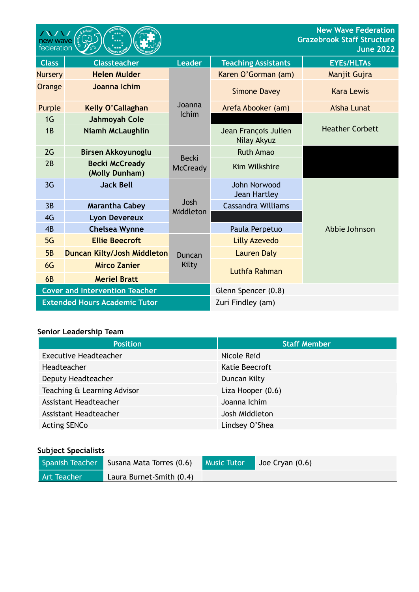| new wave<br>federation                |                                         |                                 |                                     | <b>New Wave Federation</b><br><b>Grazebrook Staff Structure</b><br><b>June 2022</b> |
|---------------------------------------|-----------------------------------------|---------------------------------|-------------------------------------|-------------------------------------------------------------------------------------|
| <b>Class</b>                          | <b>Classteacher</b>                     | <b>Leader</b>                   | <b>Teaching Assistants</b>          | <b>EYEs/HLTAs</b>                                                                   |
| <b>Nursery</b>                        | <b>Helen Mulder</b>                     | Joanna<br><b>Ichim</b>          | Karen O'Gorman (am)                 | Manjit Gujra                                                                        |
| Orange                                | Joanna Ichim                            |                                 | <b>Simone Davey</b>                 | <b>Kara Lewis</b>                                                                   |
| Purple                                | Kelly O'Callaghan                       |                                 | Arefa Abooker (am)                  | Aisha Lunat                                                                         |
| 1 <sub>G</sub>                        | Jahmoyah Cole                           |                                 |                                     |                                                                                     |
| 1B                                    | <b>Niamh McLaughlin</b>                 |                                 | Jean François Julien<br>Nilay Akyuz | <b>Heather Corbett</b>                                                              |
| 2G                                    | Birsen Akkoyunoglu                      | <b>Becki</b><br><b>McCready</b> | <b>Ruth Amao</b>                    |                                                                                     |
| 2B                                    | <b>Becki McCready</b><br>(Molly Dunham) |                                 | <b>Kim Wilkshire</b>                |                                                                                     |
| 3 <sub>G</sub>                        | <b>Jack Bell</b>                        |                                 | John Norwood<br><b>Jean Hartley</b> |                                                                                     |
| 3B                                    | <b>Marantha Cabey</b>                   | Josh                            | <b>Cassandra Williams</b>           |                                                                                     |
| 4G                                    | <b>Lyon Devereux</b>                    | Middleton                       |                                     |                                                                                     |
| 4B                                    | <b>Chelsea Wynne</b>                    |                                 | Paula Perpetuo                      | Abbie Johnson                                                                       |
| 5G                                    | <b>Ellie Beecroft</b>                   | Duncan<br>Kilty                 | <b>Lilly Azevedo</b>                |                                                                                     |
| 5B                                    | <b>Duncan Kilty/Josh Middleton</b>      |                                 | <b>Lauren Daly</b>                  |                                                                                     |
| 6G                                    | <b>Mirco Zanier</b>                     |                                 | Luthfa Rahman                       |                                                                                     |
| <b>6B</b>                             | <b>Meriel Bratt</b>                     |                                 |                                     |                                                                                     |
| <b>Cover and Intervention Teacher</b> |                                         |                                 | Glenn Spencer (0.8)                 |                                                                                     |
| <b>Extended Hours Academic Tutor</b>  |                                         |                                 | Zuri Findley (am)                   |                                                                                     |

# **Senior Leadership Team**

| <b>Position</b>              | <b>Staff Member</b> |  |
|------------------------------|---------------------|--|
| <b>Executive Headteacher</b> | Nicole Reid         |  |
| Headteacher                  | Katie Beecroft      |  |
| Deputy Headteacher           | Duncan Kilty        |  |
| Teaching & Learning Advisor  | Liza Hooper (0.6)   |  |
| Assistant Headteacher        | Joanna Ichim        |  |
| Assistant Headteacher        | Josh Middleton      |  |
| <b>Acting SENCo</b>          | Lindsey O'Shea      |  |

### **Subject Specialists**

| Spanish Teacher | Susana Mata Torres (0.6) | <b>Music Tutor</b> | Joe Cryan $(0.6)$ |
|-----------------|--------------------------|--------------------|-------------------|
| Art Teacher     | Laura Burnet-Smith (0.4) |                    |                   |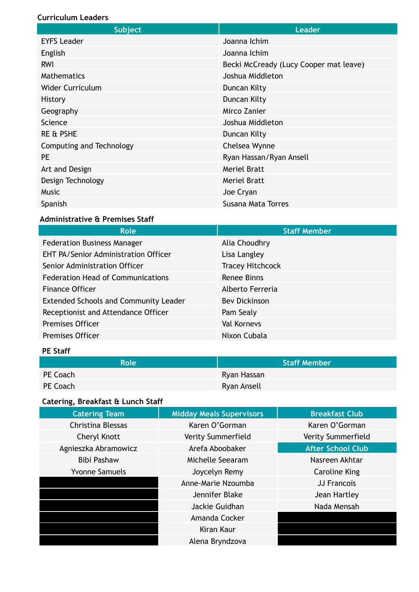#### **Curriculum Leaders**

| <b>Subject</b>           | <b>Leader</b>                          |  |
|--------------------------|----------------------------------------|--|
| <b>EYFS Leader</b>       | Joanna Ichim                           |  |
| English                  | Joanna Ichim                           |  |
| <b>RWI</b>               | Becki McCready (Lucy Cooper mat leave) |  |
| <b>Mathematics</b>       | Joshua Middleton                       |  |
| <b>Wider Curriculum</b>  | Duncan Kilty                           |  |
| <b>History</b>           | Duncan Kilty                           |  |
| Geography                | Mirco Zanier                           |  |
| Science                  | Joshua Middleton                       |  |
| <b>RE &amp; PSHE</b>     | Duncan Kilty                           |  |
| Computing and Technology | Chelsea Wynne                          |  |
| <b>PE</b>                | Ryan Hassan/Ryan Ansell                |  |
| Art and Design           | <b>Meriel Bratt</b>                    |  |
| Design Technology        | <b>Meriel Bratt</b>                    |  |
| <b>Music</b>             | Joe Cryan                              |  |
| Spanish                  | Susana Mata Torres                     |  |

### **Administrative & Premises Staff**

| <b>Role</b>                                  | <b>Staff Member</b>     |
|----------------------------------------------|-------------------------|
| <b>Federation Business Manager</b>           | Alia Choudhry           |
| <b>EHT PA/Senior Administration Officer</b>  | Lisa Langley            |
| Senior Administration Officer                | <b>Tracey Hitchcock</b> |
| <b>Federation Head of Communications</b>     | Renee Binns             |
| <b>Finance Officer</b>                       | Alberto Ferreria        |
| <b>Extended Schools and Community Leader</b> | <b>Bev Dickinson</b>    |
| Receptionist and Attendance Officer          | Pam Sealy               |
| <b>Premises Officer</b>                      | <b>Val Kornevs</b>      |
| <b>Premises Officer</b>                      | Nixon Cubala            |

## **PE Staff**

| <b>Role</b> | <b>Staff Member</b> |
|-------------|---------------------|
| PE Coach    | Ryan Hassan         |
| PE Coach    | Ryan Ansell         |

# **Catering, Breakfast & Lunch Staff**

| <b>Catering Team</b>  | <b>Midday Meals Supervisors</b> | <b>Breakfast Club</b>    |
|-----------------------|---------------------------------|--------------------------|
| Christina Blessas     | Karen O'Gorman                  | Karen O'Gorman           |
| Cheryl Knott          | Verity Summerfield              | Verity Summerfield       |
| Agnieszka Abramowicz  | Arefa Aboobaker                 | <b>After School Club</b> |
| <b>Bibi Pashaw</b>    | Michelle Seearam                | Nasreen Akhtar           |
| <b>Yvonne Samuels</b> | Joycelyn Remy                   | <b>Caroline King</b>     |
|                       | Anne-Marie Nzoumba              | JJ Francois              |
|                       | Jennifer Blake                  | Jean Hartley             |
|                       | Jackie Guidhan                  | Nada Mensah              |
|                       | Amanda Cocker                   |                          |
|                       | Kiran Kaur                      |                          |
|                       | Alena Bryndzova                 |                          |